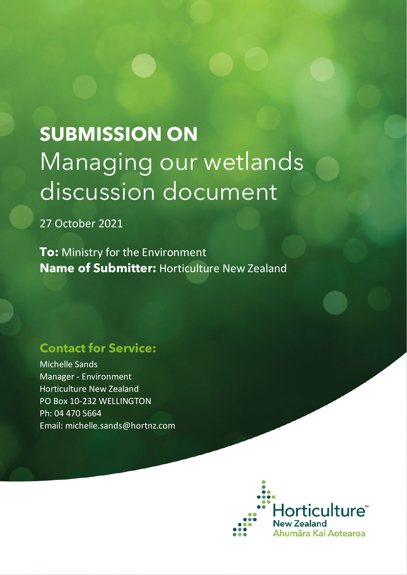# **SUBMISSION ON** Managing our wetlands discussion document

27 October 2021

**To:** Ministry for the Environment **Name of Submitter:** Horticulture New Zealand

# **Contact for Service:**

Michelle Sands Manager - Environment Horticulture New Zealand PO Box 10-232 WELLINGTON Ph: 04 470 5664 Email: michelle.sands@hortnz.com

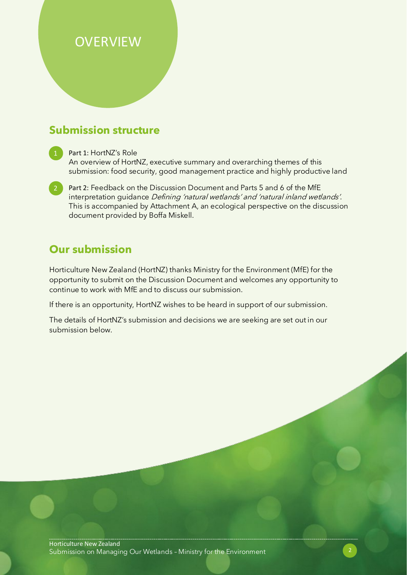# **OVERVIEW**

## **Submission structure**

Part 1: HortNZ's Role An overview of HortNZ, executive summary and overarching themes of this submission: food security, good management practice and highly productive land

2 Part 2: Feedback on the Discussion Document and Parts 5 and 6 of the MfE interpretation guidance Defining 'natural wetlands' and 'natural inland wetlands'. This is accompanied by Attachment A, an ecological perspective on the discussion document provided by Boffa Miskell.

# **Our submission**

Horticulture New Zealand (HortNZ) thanks Ministry for the Environment (MfE) for the opportunity to submit on the Discussion Document and welcomes any opportunity to continue to work with MfE and to discuss our submission.

If there is an opportunity, HortNZ wishes to be heard in support of our submission.

The details of HortNZ's submission and decisions we are seeking are set out in our submission below.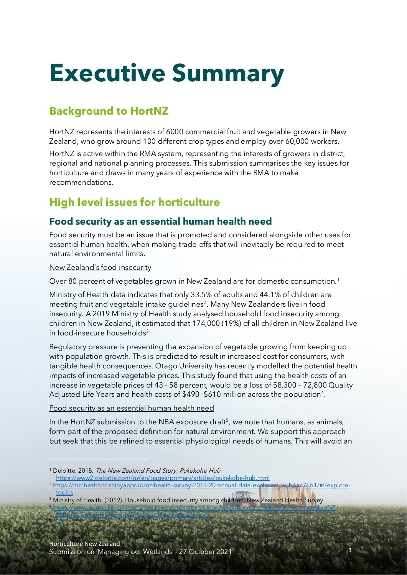# **Executive Summary**

# **Background to HortNZ**

HortNZ represents the interests of 6000 commercial fruit and vegetable growers in New Zealand, who grow around 100 different crop types and employ over 60,000 workers.

HortNZ is active within the RMA system, representing the interests of growers in district, regional and national planning processes. This submission summarises the key issues for horticulture and draws in many years of experience with the RMA to make recommendations.

# **High level issues for horticulture**

### **Food security as an essential human health need**

Food security must be an issue that is promoted and considered alongside other uses for essential human health, when making trade-offs that will inevitably be required to meet natural environmental limits.

New Zealand's food insecurity

Over 80 percent of vegetables grown in New Zealand are for domestic consumption.<sup>[1](#page-2-0)</sup>

Ministry of Health data indicates that only 33.5% of adults and 44.1% of children are meeting fruit and vegetable intake guidelines<sup>[2](#page-2-1)</sup>. Many New Zealanders live in food insecurity. A 2019 Ministry of Health study analysed household food insecurity among children in New Zealand, it estimated that 174,000 (19%) of all children in New Zealand live in food-insecure households<sup>[3](#page-2-2)</sup>.

Regulatory pressure is preventing the expansion of vegetable growing from keeping up with population growth. This is predicted to result in increased cost for consumers, with tangible health consequences. Otago University has recently modelled the potential health impacts of increased vegetable prices. This study found that using the health costs of an increase in vegetable prices of 43 - 58 percent, would be a loss of 58,300 – 72,800 Quality Adjusted Life Years and health costs of \$490 -\$610 million across the population[4](#page-2-3).

Food security as an essential human health need

In the HortNZ submission to the NBA exposure draft<sup>5</sup>, we note that humans, as animals, form part of the proposed definition for natural environment. We support this approach but seek that this be refined to essential physiological needs of humans. This will avoid an

[Submission-on-NBA-Exposure-Draft-4-August-2021.pdf](https://www.hortnz.co.nz/assets/Environment/National-Env-Policy/Resource-Management-Act/HortNZ-Submission-on-NBA-Exposure-Draft-4-August-2021.pdf)

<span id="page-2-4"></span><u>s [Ibid](https://www.hortnz.co.nz/assets/Environment/National-Env-Policy/Resource-Management-Act/HortNZ-Submission-on-NBA-Exposure-Draft-4-August-2021.pdf)</u>

<span id="page-2-3"></span><span id="page-2-2"></span><sup>3</sup> Ministry of Health. (2019). Household food insecurity among children, New Zealand Health Survey <sup>4</sup> [https://www.hortnz.co.nz/assets/Environment/National-Env-Policy/Resource-Management-Act/HortNZ-](https://www.hortnz.co.nz/assets/Environment/National-Env-Policy/Resource-Management-Act/HortNZ-Submission-on-NBA-Exposure-Draft-4-August-2021.pdf)

<span id="page-2-0"></span><sup>&</sup>lt;sup>1</sup> Deloitte, 2018. The New Zealand Food Story: Pukekohe Hub

<https://www2.deloitte.com/nz/en/pages/primary/articles/pukekohe-hub.html>

<span id="page-2-1"></span><sup>2</sup> [https://minhealthnz.shinyapps.io/nz-health-survey-2019-20-annual-data-explorer/\\_w\\_b6ac76b1/#!/explore](https://minhealthnz.shinyapps.io/nz-health-survey-2019-20-annual-data-explorer/_w_b6ac76b1/#!/explore-topics)[topics](https://minhealthnz.shinyapps.io/nz-health-survey-2019-20-annual-data-explorer/_w_b6ac76b1/#!/explore-topics)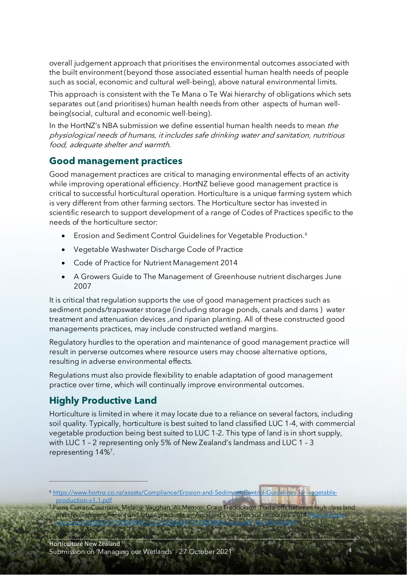overall judgement approach that prioritises the environmental outcomes associated with the built environment (beyond those associated essential human health needs of people such as social, economic and cultural well-being), above natural environmental limits.

This approach is consistent with the Te Mana o Te Wai hierarchy of obligations which sets separates out (and prioritises) human health needs from other aspects of human wellbeing(social, cultural and economic well-being).

In the HortNZ's NBA submission we define essential human health needs to mean the physiological needs of humans, it includes safe drinking water and sanitation, nutritious food, adequate shelter and warmth.

### **Good management practices**

Good management practices are critical to managing environmental effects of an activity while improving operational efficiency. HortNZ believe good management practice is critical to successful horticultural operation. Horticulture is a unique farming system which is very different from other farming sectors. The Horticulture sector has invested in scientific research to support development of a range of Codes of Practices specific to the needs of the horticulture sector:

- Erosion and Sediment Control Guidelines for Vegetable Production.<sup>[6](#page-3-0)</sup>
- Vegetable Washwater Discharge Code of Practice
- Code of Practice for Nutrient Management 2014
- A Growers Guide to The Management of Greenhouse nutrient discharges June 2007

It is critical that regulation supports the use of good management practices such as sediment ponds/trapswater storage (including storage ponds, canals and dams ) water treatment and attenuation devices ,and riparian planting. All of these constructed good managements practices, may include constructed wetland margins.

Regulatory hurdles to the operation and maintenance of good management practice will result in perverse outcomes where resource users may choose alternative options, resulting in adverse environmental effects.

Regulations must also provide flexibility to enable adaptation of good management practice over time, which will continually improve environmental outcomes.

### **Highly Productive Land**

Horticulture is limited in where it may locate due to a reliance on several factors, including soil quality. Typically, horticulture is best suited to land classified LUC 1-4, with commercial vegetable production being best suited to LUC 1-2. This type of land is in short supply, with LUC 1 – 2 representing only 5% of New Zealand's landmass and LUC 1 – 3 representing 14%<sup>7</sup>.

<span id="page-3-0"></span><sup>6</sup> [https://www.hortnz.co.nz/assets/Compliance/Erosion-and-Sediment-Control-Guidelines-for-vegetable](https://www.hortnz.co.nz/assets/Compliance/Erosion-and-Sediment-Control-Guidelines-for-vegetable-production-v1.1.pdf)[production-v1.1.pdf](https://www.hortnz.co.nz/assets/Compliance/Erosion-and-Sediment-Control-Guidelines-for-vegetable-production-v1.1.pdf)

[cdn.com/S0264837714000489/1-s2.0-S0264837714000489-main.pdf?\\_tid=5b7e5b49](https://ac.els-cdn.com/S0264837714000489/1-s2.0-S0264837714000489-main.pdf?_tid=5b7e5b49)

<span id="page-3-1"></span><sup>7</sup> Fiona Curran-Cournane, Melaine Vaughan, Ali Memon, Craig Fredrickson 'Trade-offs between high class land and development:Recent and future pre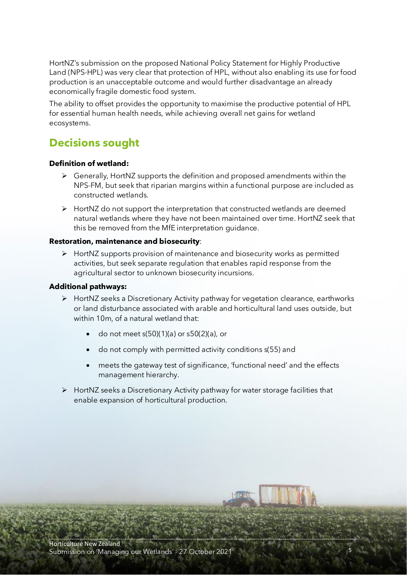HortNZ's submission on the proposed National Policy Statement for Highly Productive Land (NPS-HPL) was very clear that protection of HPL, without also enabling its use for food production is an unacceptable outcome and would further disadvantage an already economically fragile domestic food system.

The ability to offset provides the opportunity to maximise the productive potential of HPL for essential human health needs, while achieving overall net gains for wetland ecosystems.

## **Decisions sought**

#### **Definition of wetland:**

- $\triangleright$  Generally, HortNZ supports the definition and proposed amendments within the NPS-FM, but seek that riparian margins within a functional purpose are included as constructed wetlands.
- $\triangleright$  HortNZ do not support the interpretation that constructed wetlands are deemed natural wetlands where they have not been maintained over time. HortNZ seek that this be removed from the MfE interpretation guidance.

#### **Restoration, maintenance and biosecurity**:

 $\triangleright$  HortNZ supports provision of maintenance and biosecurity works as permitted activities, but seek separate regulation that enables rapid response from the agricultural sector to unknown biosecurity incursions.

#### **Additional pathways:**

- HortNZ seeks a Discretionary Activity pathway for vegetation clearance, earthworks or land disturbance associated with arable and horticultural land uses outside, but within 10m, of a natural wetland that:
	- do not meet s(50)(1)(a) or s50(2)(a), or
	- do not comply with permitted activity conditions s(55) and
	- meets the gateway test of significance, 'functional need' and the effects management hierarchy.
- $\triangleright$  HortNZ seeks a Discretionary Activity pathway for water storage facilities that enable expansion of horticultural production.

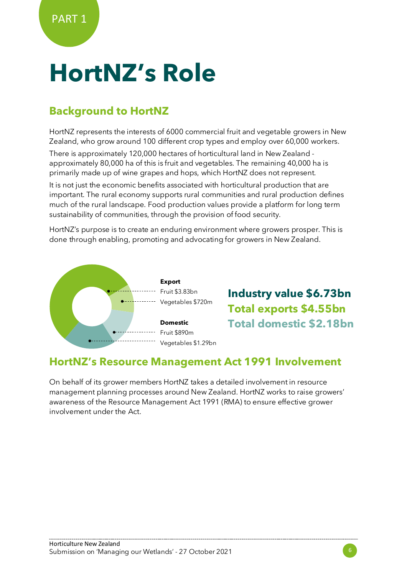# **HortNZ's Role**

## **Background to HortNZ**

HortNZ represents the interests of 6000 commercial fruit and vegetable growers in New Zealand, who grow around 100 different crop types and employ over 60,000 workers.

There is approximately 120,000 hectares of horticultural land in New Zealand approximately 80,000 ha of this is fruit and vegetables. The remaining 40,000 ha is primarily made up of wine grapes and hops, which HortNZ does not represent.

It is not just the economic benefits associated with horticultural production that are important. The rural economy supports rural communities and rural production defines much of the rural landscape. Food production values provide a platform for long term sustainability of communities, through the provision of food security.

HortNZ's purpose is to create an enduring environment where growers prosper. This is done through enabling, promoting and advocating for growers in New Zealand.



**Industry value \$6.73bn Total exports \$4.55bn Total domestic \$2.18bn**

## **HortNZ's Resource Management Act 1991 Involvement**

On behalf of its grower members HortNZ takes a detailed involvement in resource management planning processes around New Zealand. HortNZ works to raise growers' awareness of the Resource Management Act 1991 (RMA) to ensure effective grower involvement under the Act.

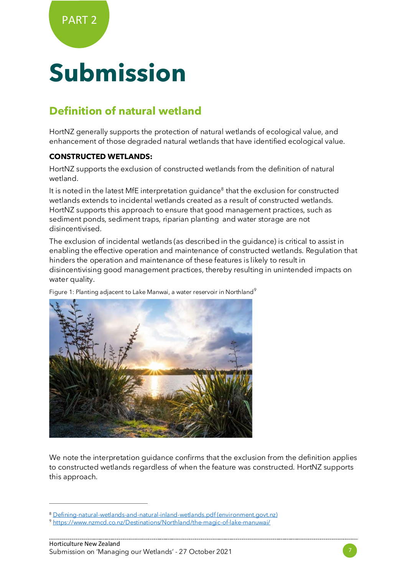# **Submission**

## **Definition of natural wetland**

HortNZ generally supports the protection of natural wetlands of ecological value, and enhancement of those degraded natural wetlands that have identified ecological value.

#### **CONSTRUCTED WETLANDS:**

HortNZ supports the exclusion of constructed wetlands from the definition of natural wetland.

It is noted in the latest MfE interpretation quidance<sup>[8](#page-6-0)</sup> that the exclusion for constructed wetlands extends to incidental wetlands created as a result of constructed wetlands. HortNZ supports this approach to ensure that good management practices, such as sediment ponds, sediment traps, riparian planting and water storage are not disincentivised.

The exclusion of incidental wetlands (as described in the guidance) is critical to assist in enabling the effective operation and maintenance of constructed wetlands. Regulation that hinders the operation and maintenance of these features is likely to result in disincentivising good management practices, thereby resulting in unintended impacts on water quality.

Figure 1: Planting adjacent to Lake Manwai, a water reservoir in Northland<sup>[9](#page-6-1)</sup>



We note the interpretation guidance confirms that the exclusion from the definition applies to constructed wetlands regardless of when the feature was constructed. HortNZ supports this approach.



<span id="page-6-0"></span><sup>8</sup> [Defining-natural-wetlands-and-natural-inland-wetlands.pdf \(environment.govt.nz\)](https://environment.govt.nz/assets/publications/Defining-natural-wetlands-and-natural-inland-wetlands.pdf)

<span id="page-6-1"></span><sup>9</sup> <https://www.nzmcd.co.nz/Destinations/Northland/the-magic-of-lake-manuwai/>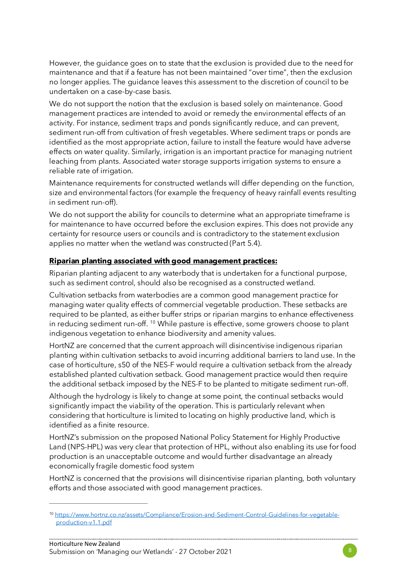However, the guidance goes on to state that the exclusion is provided due to the need for maintenance and that if a feature has not been maintained "over time", then the exclusion no longer applies. The guidance leaves this assessment to the discretion of council to be undertaken on a case-by-case basis.

We do not support the notion that the exclusion is based solely on maintenance. Good management practices are intended to avoid or remedy the environmental effects of an activity. For instance, sediment traps and ponds significantly reduce, and can prevent, sediment run-off from cultivation of fresh vegetables. Where sediment traps or ponds are identified as the most appropriate action, failure to install the feature would have adverse effects on water quality. Similarly, irrigation is an important practice for managing nutrient leaching from plants. Associated water storage supports irrigation systems to ensure a reliable rate of irrigation.

Maintenance requirements for constructed wetlands will differ depending on the function, size and environmental factors (for example the frequency of heavy rainfall events resulting in sediment run-off).

We do not support the ability for councils to determine what an appropriate timeframe is for maintenance to have occurred before the exclusion expires. This does not provide any certainty for resource users or councils and is contradictory to the statement exclusion applies no matter when the wetland was constructed (Part 5.4).

#### **Riparian planting associated with good management practices:**

Riparian planting adjacent to any waterbody that is undertaken for a functional purpose, such as sediment control, should also be recognised as a constructed wetland.

Cultivation setbacks from waterbodies are a common good management practice for managing water quality effects of commercial vegetable production. These setbacks are required to be planted, as either buffer strips or riparian margins to enhance effectiveness in reducing sediment run-off. <sup>[10](#page-7-0)</sup> While pasture is effective, some growers choose to plant indigenous vegetation to enhance biodiversity and amenity values.

HortNZ are concerned that the current approach will disincentivise indigenous riparian planting within cultivation setbacks to avoid incurring additional barriers to land use. In the case of horticulture, s50 of the NES-F would require a cultivation setback from the already established planted cultivation setback. Good management practice would then require the additional setback imposed by the NES-F to be planted to mitigate sediment run-off.

Although the hydrology is likely to change at some point, the continual setbacks would significantly impact the viability of the operation. This is particularly relevant when considering that horticulture is limited to locating on highly productive land, which is identified as a finite resource.

HortNZ's submission on the proposed National Policy Statement for Highly Productive Land (NPS-HPL) was very clear that protection of HPL, without also enabling its use for food production is an unacceptable outcome and would further disadvantage an already economically fragile domestic food system

HortNZ is concerned that the provisions will disincentivise riparian planting, both voluntary efforts and those associated with good management practices.



<span id="page-7-0"></span><sup>10</sup> [https://www.hortnz.co.nz/assets/Compliance/Erosion-and-Sediment-Control-Guidelines-for-vegetable](https://www.hortnz.co.nz/assets/Compliance/Erosion-and-Sediment-Control-Guidelines-for-vegetable-production-v1.1.pdf)[production-v1.1.pdf](https://www.hortnz.co.nz/assets/Compliance/Erosion-and-Sediment-Control-Guidelines-for-vegetable-production-v1.1.pdf)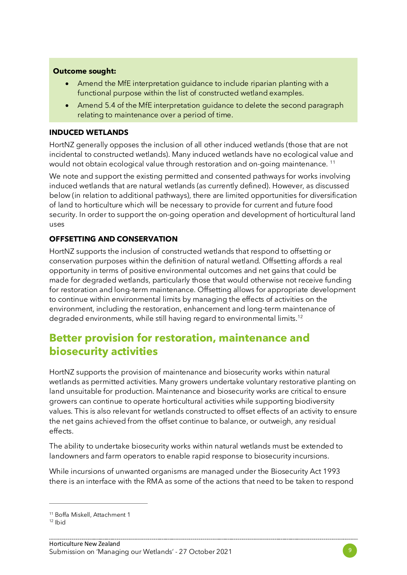#### **Outcome sought:**

- Amend the MfE interpretation guidance to include riparian planting with a functional purpose within the list of constructed wetland examples.
- Amend 5.4 of the MfE interpretation guidance to delete the second paragraph relating to maintenance over a period of time.

#### **INDUCED WETLANDS**

HortNZ generally opposes the inclusion of all other induced wetlands (those that are not incidental to constructed wetlands). Many induced wetlands have no ecological value and would not obtain ecological value through restoration and on-going maintenance.<sup>[11](#page-8-0)</sup>

We note and support the existing permitted and consented pathways for works involving induced wetlands that are natural wetlands (as currently defined). However, as discussed below (in relation to additional pathways), there are limited opportunities for diversification of land to horticulture which will be necessary to provide for current and future food security. In order to support the on-going operation and development of horticultural land uses

#### **OFFSETTING AND CONSERVATION**

HortNZ supports the inclusion of constructed wetlands that respond to offsetting or conservation purposes within the definition of natural wetland. Offsetting affords a real opportunity in terms of positive environmental outcomes and net gains that could be made for degraded wetlands, particularly those that would otherwise not receive funding for restoration and long-term maintenance. Offsetting allows for appropriate development to continue within environmental limits by managing the effects of activities on the environment, including the restoration, enhancement and long-term maintenance of degraded environments, while still having regard to environmental limits.<sup>[12](#page-8-1)</sup>

## **Better provision for restoration, maintenance and biosecurity activities**

HortNZ supports the provision of maintenance and biosecurity works within natural wetlands as permitted activities. Many growers undertake voluntary restorative planting on land unsuitable for production. Maintenance and biosecurity works are critical to ensure growers can continue to operate horticultural activities while supporting biodiversity values. This is also relevant for wetlands constructed to offset effects of an activity to ensure the net gains achieved from the offset continue to balance, or outweigh, any residual effects.

The ability to undertake biosecurity works within natural wetlands must be extended to landowners and farm operators to enable rapid response to biosecurity incursions.

While incursions of unwanted organisms are managed under the Biosecurity Act 1993 there is an interface with the RMA as some of the actions that need to be taken to respond

<span id="page-8-1"></span><span id="page-8-0"></span><sup>11</sup> Boffa Miskell, Attachment 1

 $12$  Ihid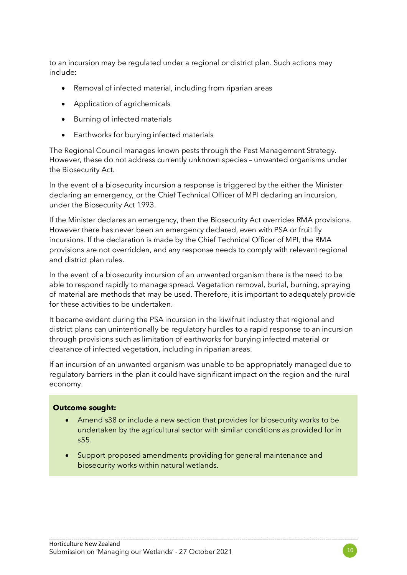to an incursion may be regulated under a regional or district plan. Such actions may include:

- Removal of infected material, including from riparian areas
- Application of agrichemicals
- Burning of infected materials
- Earthworks for burying infected materials

The Regional Council manages known pests through the Pest Management Strategy. However, these do not address currently unknown species – unwanted organisms under the Biosecurity Act.

In the event of a biosecurity incursion a response is triggered by the either the Minister declaring an emergency, or the Chief Technical Officer of MPI declaring an incursion, under the Biosecurity Act 1993.

If the Minister declares an emergency, then the Biosecurity Act overrides RMA provisions. However there has never been an emergency declared, even with PSA or fruit fly incursions. If the declaration is made by the Chief Technical Officer of MPI, the RMA provisions are not overridden, and any response needs to comply with relevant regional and district plan rules.

In the event of a biosecurity incursion of an unwanted organism there is the need to be able to respond rapidly to manage spread. Vegetation removal, burial, burning, spraying of material are methods that may be used. Therefore, it is important to adequately provide for these activities to be undertaken.

It became evident during the PSA incursion in the kiwifruit industry that regional and district plans can unintentionally be regulatory hurdles to a rapid response to an incursion through provisions such as limitation of earthworks for burying infected material or clearance of infected vegetation, including in riparian areas.

If an incursion of an unwanted organism was unable to be appropriately managed due to regulatory barriers in the plan it could have significant impact on the region and the rural economy.

#### **Outcome sought:**

- Amend s38 or include a new section that provides for biosecurity works to be undertaken by the agricultural sector with similar conditions as provided for in s55.
- Support proposed amendments providing for general maintenance and biosecurity works within natural wetlands.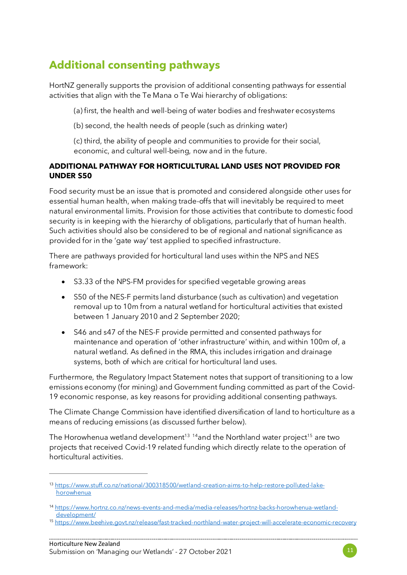# **Additional consenting pathways**

HortNZ generally supports the provision of additional consenting pathways for essential activities that align with the Te Mana o Te Wai hierarchy of obligations:

(a) first, the health and well-being of water bodies and freshwater ecosystems

(b) second, the health needs of people (such as drinking water)

(c) third, the ability of people and communities to provide for their social, economic, and cultural well-being, now and in the future.

#### **ADDITIONAL PATHWAY FOR HORTICULTURAL LAND USES NOT PROVIDED FOR UNDER S50**

Food security must be an issue that is promoted and considered alongside other uses for essential human health, when making trade-offs that will inevitably be required to meet natural environmental limits. Provision for those activities that contribute to domestic food security is in keeping with the hierarchy of obligations, particularly that of human health. Such activities should also be considered to be of regional and national significance as provided for in the 'gate way' test applied to specified infrastructure.

There are pathways provided for horticultural land uses within the NPS and NES framework:

- S3.33 of the NPS-FM provides for specified vegetable growing areas
- S50 of the NES-F permits land disturbance (such as cultivation) and vegetation removal up to 10m from a natural wetland for horticultural activities that existed between 1 January 2010 and 2 September 2020;
- S46 and s47 of the NES-F provide permitted and consented pathways for maintenance and operation of 'other infrastructure' within, and within 100m of, a natural wetland. As defined in the RMA, this includes irrigation and drainage systems, both of which are critical for horticultural land uses.

Furthermore, the Regulatory Impact Statement notes that support of transitioning to a low emissions economy (for mining) and Government funding committed as part of the Covid-19 economic response, as key reasons for providing additional consenting pathways.

The Climate Change Commission have identified diversification of land to horticulture as a means of reducing emissions (as discussed further below).

The Horowhenua wetland development<sup>13</sup> <sup>[14](#page-10-1)</sup>and the Northland water project<sup>[15](#page-10-2)</sup> are two projects that received Covid-19 related funding which directly relate to the operation of horticultural activities.

<span id="page-10-0"></span><sup>13</sup> [https://www.stuff.co.nz/national/300318500/wetland-creation-aims-to-help-restore-polluted-lake](https://www.stuff.co.nz/national/300318500/wetland-creation-aims-to-help-restore-polluted-lake-horowhenua)[horowhenua](https://www.stuff.co.nz/national/300318500/wetland-creation-aims-to-help-restore-polluted-lake-horowhenua)

<span id="page-10-1"></span><sup>14</sup> [https://www.hortnz.co.nz/news-events-and-media/media-releases/hortnz-backs-horowhenua-wetland](https://www.hortnz.co.nz/news-events-and-media/media-releases/hortnz-backs-horowhenua-wetland-development/)[development/](https://www.hortnz.co.nz/news-events-and-media/media-releases/hortnz-backs-horowhenua-wetland-development/)

<span id="page-10-2"></span><sup>15</sup> <https://www.beehive.govt.nz/release/fast-tracked-northland-water-project-will-accelerate-economic-recovery>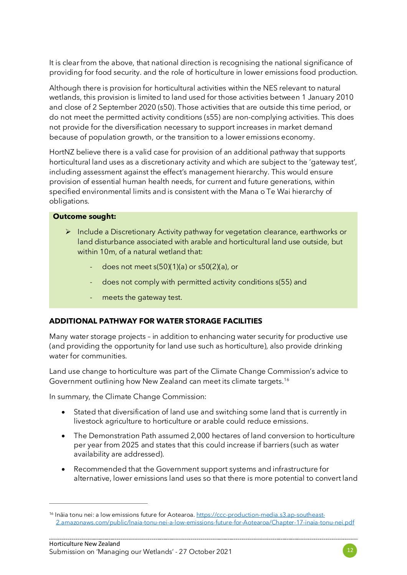It is clear from the above, that national direction is recognising the national significance of providing for food security. and the role of horticulture in lower emissions food production.

Although there is provision for horticultural activities within the NES relevant to natural wetlands, this provision is limited to land used for those activities between 1 January 2010 and close of 2 September 2020 (s50). Those activities that are outside this time period, or do not meet the permitted activity conditions (s55) are non-complying activities. This does not provide for the diversification necessary to support increases in market demand because of population growth, or the transition to a lower emissions economy.

HortNZ believe there is a valid case for provision of an additional pathway that supports horticultural land uses as a discretionary activity and which are subject to the 'gateway test', including assessment against the effect's management hierarchy. This would ensure provision of essential human health needs, for current and future generations, within specified environmental limits and is consistent with the Mana o Te Wai hierarchy of obligations.

#### **Outcome sought:**

- Include a Discretionary Activity pathway for vegetation clearance, earthworks or land disturbance associated with arable and horticultural land use outside, but within 10m, of a natural wetland that:
	- does not meet s(50)(1)(a) or s50(2)(a), or
	- does not comply with permitted activity conditions s(55) and
	- meets the gateway test.

#### **ADDITIONAL PATHWAY FOR WATER STORAGE FACILITIES**

Many water storage projects – in addition to enhancing water security for productive use (and providing the opportunity for land use such as horticulture), also provide drinking water for communities.

Land use change to horticulture was part of the Climate Change Commission's advice to Government outlining how New Zealand can meet its climate targets.<sup>[16](#page-11-0)</sup>

In summary, the Climate Change Commission:

- Stated that diversification of land use and switching some land that is currently in livestock agriculture to horticulture or arable could reduce emissions.
- The Demonstration Path assumed 2,000 hectares of land conversion to horticulture per year from 2025 and states that this could increase if barriers (such as water availability are addressed).
- Recommended that the Government support systems and infrastructure for alternative, lower emissions land uses so that there is more potential to convert land



<span id="page-11-0"></span><sup>&</sup>lt;sup>16</sup> Ināia tonu nei: a low emissions future for Aotearoa[. https://ccc-production-media.s3.ap-southeast-](https://ccc-production-media.s3.ap-southeast-2.amazonaws.com/public/Inaia-tonu-nei-a-low-emissions-future-for-Aotearoa/Chapter-17-inaia-tonu-nei.pdf)[2.amazonaws.com/public/Inaia-tonu-nei-a-low-emissions-future-for-Aotearoa/Chapter-17-inaia-tonu-nei.pdf](https://ccc-production-media.s3.ap-southeast-2.amazonaws.com/public/Inaia-tonu-nei-a-low-emissions-future-for-Aotearoa/Chapter-17-inaia-tonu-nei.pdf)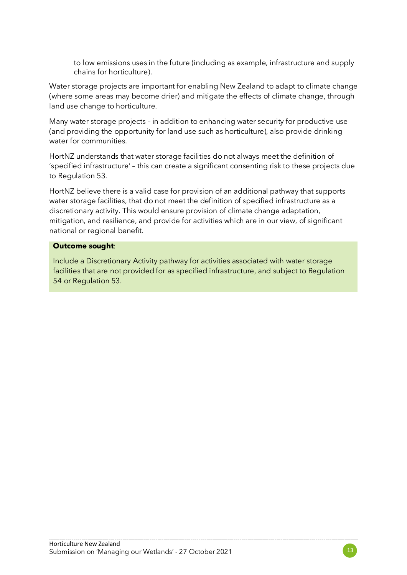to low emissions uses in the future (including as example, infrastructure and supply chains for horticulture).

Water storage projects are important for enabling New Zealand to adapt to climate change (where some areas may become drier) and mitigate the effects of climate change, through land use change to horticulture.

Many water storage projects – in addition to enhancing water security for productive use (and providing the opportunity for land use such as horticulture), also provide drinking water for communities.

HortNZ understands that water storage facilities do not always meet the definition of 'specified infrastructure' – this can create a significant consenting risk to these projects due to Regulation 53.

HortNZ believe there is a valid case for provision of an additional pathway that supports water storage facilities, that do not meet the definition of specified infrastructure as a discretionary activity. This would ensure provision of climate change adaptation, mitigation, and resilience, and provide for activities which are in our view, of significant national or regional benefit.

#### **Outcome sought**:

Include a Discretionary Activity pathway for activities associated with water storage facilities that are not provided for as specified infrastructure, and subject to Regulation 54 or Regulation 53.

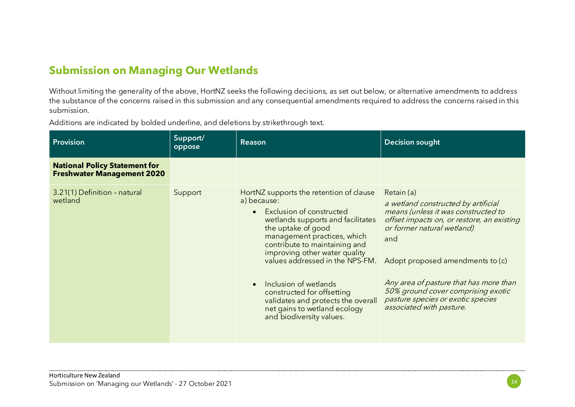## **Submission on Managing Our Wetlands**

Without limiting the generality of the above, HortNZ seeks the following decisions, as set out below, or alternative amendments to address the substance of the concerns raised in this submission and any consequential amendments required to address the concerns raised in this submission.

Additions are indicated by bolded underline, and deletions by strikethrough text.

| <b>Provision</b>                                                          | Support/<br>oppose | <b>Reason</b>                                                                                                                                                                                                                                                                                                                                                                                                                                           | <b>Decision sought</b>                                                                                                                                                                                                                                                                                                                                           |
|---------------------------------------------------------------------------|--------------------|---------------------------------------------------------------------------------------------------------------------------------------------------------------------------------------------------------------------------------------------------------------------------------------------------------------------------------------------------------------------------------------------------------------------------------------------------------|------------------------------------------------------------------------------------------------------------------------------------------------------------------------------------------------------------------------------------------------------------------------------------------------------------------------------------------------------------------|
| <b>National Policy Statement for</b><br><b>Freshwater Management 2020</b> |                    |                                                                                                                                                                                                                                                                                                                                                                                                                                                         |                                                                                                                                                                                                                                                                                                                                                                  |
| 3.21(1) Definition - natural<br>wetland                                   | Support            | HortNZ supports the retention of clause<br>a) because:<br>Exclusion of constructed<br>$\bullet$<br>wetlands supports and facilitates<br>the uptake of good<br>management practices, which<br>contribute to maintaining and<br>improving other water quality<br>values addressed in the NPS-FM.<br>Inclusion of wetlands<br>constructed for offsetting<br>validates and protects the overall<br>net gains to wetland ecology<br>and biodiversity values. | Retain (a)<br>a wetland constructed by artificial<br>means (unless it was constructed to<br>offset impacts on, or restore, an existing<br>or former natural wetland)<br>and<br>Adopt proposed amendments to (c)<br>Any area of pasture that has more than<br>50% ground cover comprising exotic<br>pasture species or exotic species<br>associated with pasture. |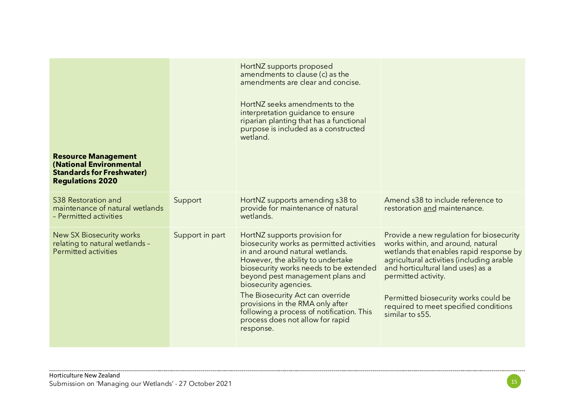|                                                                                                                      |                 | HortNZ supports proposed<br>amendments to clause (c) as the<br>amendments are clear and concise.<br>HortNZ seeks amendments to the<br>interpretation guidance to ensure<br>riparian planting that has a functional<br>purpose is included as a constructed<br>wetland.                                                                                                                                                          |                                                                                                                                                                                                                                                                                                                                       |
|----------------------------------------------------------------------------------------------------------------------|-----------------|---------------------------------------------------------------------------------------------------------------------------------------------------------------------------------------------------------------------------------------------------------------------------------------------------------------------------------------------------------------------------------------------------------------------------------|---------------------------------------------------------------------------------------------------------------------------------------------------------------------------------------------------------------------------------------------------------------------------------------------------------------------------------------|
| <b>Resource Management</b><br>(National Environmental<br><b>Standards for Freshwater)</b><br><b>Regulations 2020</b> |                 |                                                                                                                                                                                                                                                                                                                                                                                                                                 |                                                                                                                                                                                                                                                                                                                                       |
| S38 Restoration and<br>maintenance of natural wetlands<br>- Permitted activities                                     | Support         | HortNZ supports amending s38 to<br>provide for maintenance of natural<br>wetlands.                                                                                                                                                                                                                                                                                                                                              | Amend s38 to include reference to<br>restoration and maintenance.                                                                                                                                                                                                                                                                     |
| <b>New SX Biosecurity works</b><br>relating to natural wetlands -<br><b>Permitted activities</b>                     | Support in part | HortNZ supports provision for<br>biosecurity works as permitted activities<br>in and around natural wetlands.<br>However, the ability to undertake<br>biosecurity works needs to be extended<br>beyond pest management plans and<br>biosecurity agencies.<br>The Biosecurity Act can override<br>provisions in the RMA only after<br>following a process of notification. This<br>process does not allow for rapid<br>response. | Provide a new regulation for biosecurity<br>works within, and around, natural<br>wetlands that enables rapid response by<br>agricultural activities (including arable<br>and horticultural land uses) as a<br>permitted activity.<br>Permitted biosecurity works could be<br>required to meet specified conditions<br>similar to s55. |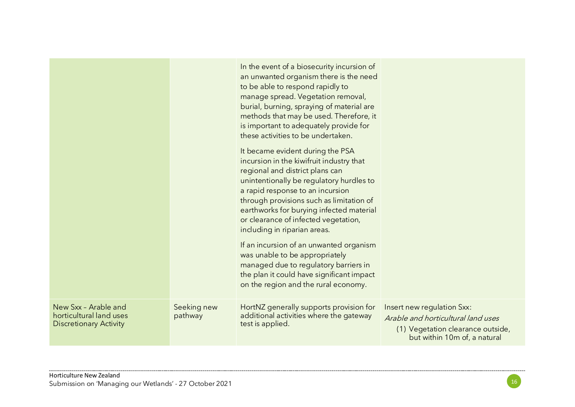|                                                                                  |                        | In the event of a biosecurity incursion of<br>an unwanted organism there is the need                                                                                                                                                                                                                                                                            |                                                                                                                                       |
|----------------------------------------------------------------------------------|------------------------|-----------------------------------------------------------------------------------------------------------------------------------------------------------------------------------------------------------------------------------------------------------------------------------------------------------------------------------------------------------------|---------------------------------------------------------------------------------------------------------------------------------------|
|                                                                                  |                        | to be able to respond rapidly to<br>manage spread. Vegetation removal,<br>burial, burning, spraying of material are<br>methods that may be used. Therefore, it<br>is important to adequately provide for<br>these activities to be undertaken.                                                                                                                  |                                                                                                                                       |
|                                                                                  |                        | It became evident during the PSA<br>incursion in the kiwifruit industry that<br>regional and district plans can<br>unintentionally be regulatory hurdles to<br>a rapid response to an incursion<br>through provisions such as limitation of<br>earthworks for burying infected material<br>or clearance of infected vegetation,<br>including in riparian areas. |                                                                                                                                       |
|                                                                                  |                        | If an incursion of an unwanted organism<br>was unable to be appropriately<br>managed due to regulatory barriers in<br>the plan it could have significant impact<br>on the region and the rural economy.                                                                                                                                                         |                                                                                                                                       |
| New Sxx - Arable and<br>horticultural land uses<br><b>Discretionary Activity</b> | Seeking new<br>pathway | HortNZ generally supports provision for<br>additional activities where the gateway<br>test is applied.                                                                                                                                                                                                                                                          | Insert new regulation Sxx:<br>Arable and horticultural land uses<br>(1) Vegetation clearance outside,<br>but within 10m of, a natural |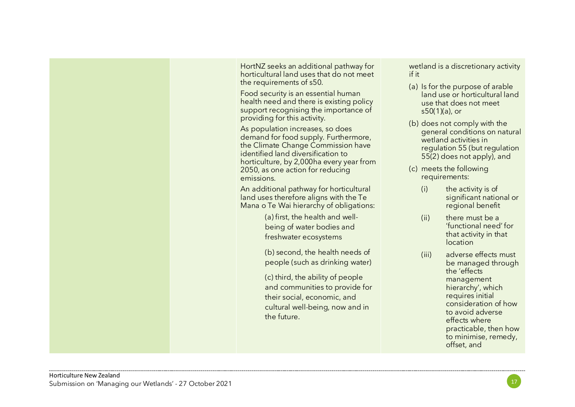

HortNZ seeks an additional pathway for horticultural land uses that do not meet the requirements of s50.

Food security is an essential human health need and there is existing policy support recognising the importance of providing for this activity.

As population increases, so does demand for food supply. Furthermore, the Climate Change Commission have identified land diversification to horticulture, by 2,000ha every year from 2050, as one action for reducing emissions.

An additional pathway for horticultural land uses therefore aligns with the Te Mana o Te Wai hierarchy of obligations:

> (a) first, the health and wellbeing of water bodies and freshwater ecosystems

(b) second, the health needs of people (such as drinking water)

(c) third, the ability of people and communities to provide for their social, economic, and cultural well-being, now and in the future.

wetland is a discretionary activity if it

- (a) Is for the purpose of arable land use or horticultural land use that does not meet s50(1)(a), or
- (b) does not comply with the general conditions on natural wetland activities in regulation 55 (but regulation 55(2) does not apply), and
- (c) meets the following requirements:
	- (i) the activity is of significant national or regional benefit
	- (ii) there must be a 'functional need' for that activity in that location
	- (iii) adverse effects must be managed through the 'effects management hierarchy', which requires initial consideration of how to avoid adverse effects where practicable, then how to minimise, remedy, offset, and

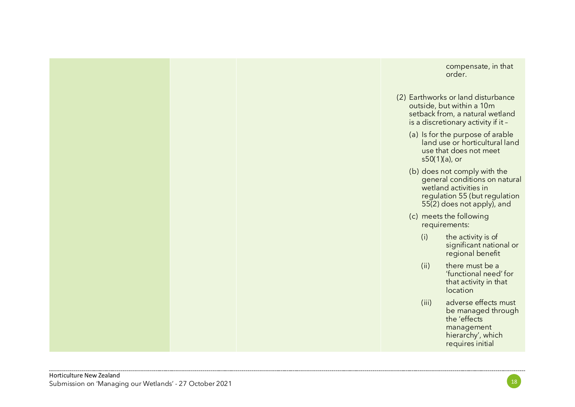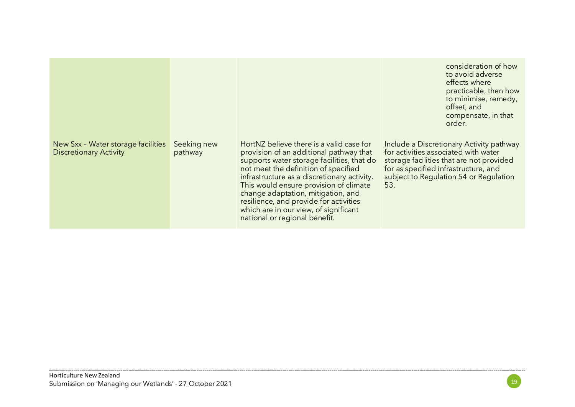|                                                                     |                        |                                                                                                                                                                                                                                                                                                                                                                                                                              | consideration of how<br>to avoid adverse<br>effects where<br>practicable, then how<br>to minimise, remedy,<br>offset, and<br>compensate, in that<br>order.                                                            |
|---------------------------------------------------------------------|------------------------|------------------------------------------------------------------------------------------------------------------------------------------------------------------------------------------------------------------------------------------------------------------------------------------------------------------------------------------------------------------------------------------------------------------------------|-----------------------------------------------------------------------------------------------------------------------------------------------------------------------------------------------------------------------|
| New Sxx - Water storage facilities<br><b>Discretionary Activity</b> | Seeking new<br>pathway | HortNZ believe there is a valid case for<br>provision of an additional pathway that<br>supports water storage facilities, that do<br>not meet the definition of specified<br>infrastructure as a discretionary activity.<br>This would ensure provision of climate<br>change adaptation, mitigation, and<br>resilience, and provide for activities<br>which are in our view, of significant<br>national or regional benefit. | Include a Discretionary Activity pathway<br>for activities associated with water<br>storage facilities that are not provided<br>for as specified infrastructure, and<br>subject to Regulation 54 or Regulation<br>53. |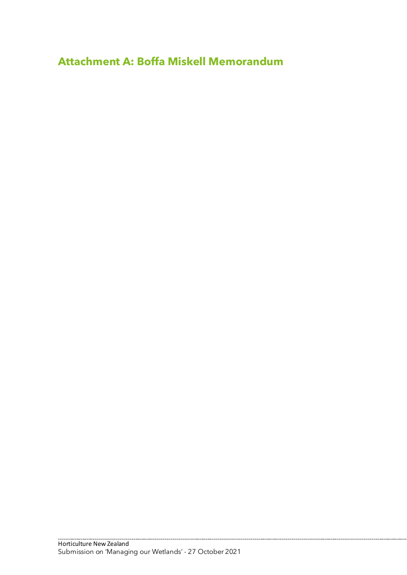**Attachment A: Boffa Miskell Memorandum**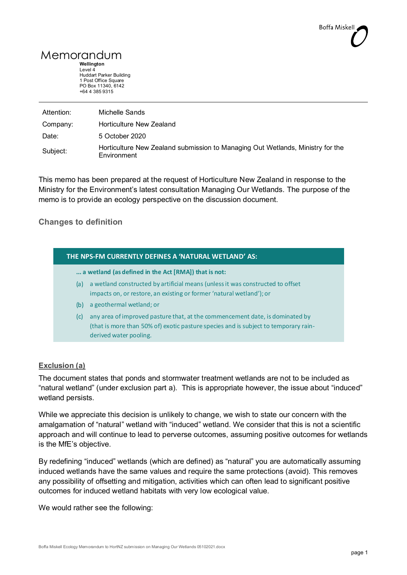## Memorandum

**Wellington** Level 4 Huddart Parker Building 1 Post Office Square PO Box 11340, 6142 +64 4 385 9315

| Attention: | Michelle Sands                                                                                       |
|------------|------------------------------------------------------------------------------------------------------|
| Company:   | Horticulture New Zealand                                                                             |
| Date:      | 5 October 2020                                                                                       |
| Subject:   | Horticulture New Zealand submission to Managing Out Wetlands, Ministry for the<br><b>Environment</b> |

This memo has been prepared at the request of Horticulture New Zealand in response to the Ministry for the Environment's latest consultation Managing Our Wetlands. The purpose of the memo is to provide an ecology perspective on the discussion document.

#### **Changes to definition**

| THE NPS-FM CURRENTLY DEFINES A 'NATURAL WETLAND' AS: |                                                                                                                                                                                               |  |  |
|------------------------------------------------------|-----------------------------------------------------------------------------------------------------------------------------------------------------------------------------------------------|--|--|
|                                                      | a wetland (as defined in the Act [RMA]) that is not:                                                                                                                                          |  |  |
| (a)                                                  | a wetland constructed by artificial means (unless it was constructed to offset<br>impacts on, or restore, an existing or former 'natural wetland'); or                                        |  |  |
| (b)                                                  | a geothermal wetland; or                                                                                                                                                                      |  |  |
| (c)                                                  | any area of improved pasture that, at the commencement date, is dominated by<br>(that is more than 50% of) exotic pasture species and is subject to temporary rain-<br>derived water pooling. |  |  |
|                                                      |                                                                                                                                                                                               |  |  |

#### **Exclusion (a)**

The document states that ponds and stormwater treatment wetlands are not to be included as "natural wetland" (under exclusion part a). This is appropriate however, the issue about "induced" wetland persists.

While we appreciate this decision is unlikely to change, we wish to state our concern with the amalgamation of "natural" wetland with "induced" wetland. We consider that this is not a scientific approach and will continue to lead to perverse outcomes, assuming positive outcomes for wetlands is the MfE's objective.

By redefining "induced" wetlands (which are defined) as "natural" you are automatically assuming induced wetlands have the same values and require the same protections (avoid). This removes any possibility of offsetting and mitigation, activities which can often lead to significant positive outcomes for induced wetland habitats with very low ecological value.

We would rather see the following: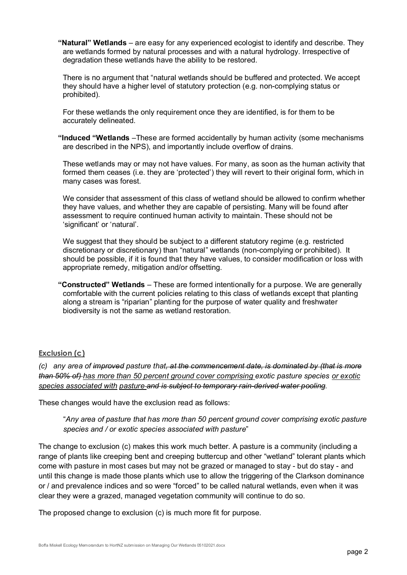**"Natural" Wetlands** – are easy for any experienced ecologist to identify and describe. They are wetlands formed by natural processes and with a natural hydrology. Irrespective of degradation these wetlands have the ability to be restored.

There is no argument that "natural wetlands should be buffered and protected. We accept they should have a higher level of statutory protection (e.g. non-complying status or prohibited).

For these wetlands the only requirement once they are identified, is for them to be accurately delineated.

**"Induced "Wetlands** –These are formed accidentally by human activity (some mechanisms are described in the NPS), and importantly include overflow of drains.

These wetlands may or may not have values. For many, as soon as the human activity that formed them ceases (i.e. they are 'protected') they will revert to their original form, which in many cases was forest.

We consider that assessment of this class of wetland should be allowed to confirm whether they have values, and whether they are capable of persisting. Many will be found after assessment to require continued human activity to maintain. These should not be 'significant' or 'natural'.

We suggest that they should be subject to a different statutory regime (e.g. restricted discretionary or discretionary) than "natural" wetlands (non-complying or prohibited). It should be possible, if it is found that they have values, to consider modification or loss with appropriate remedy, mitigation and/or offsetting.

**"Constructed" Wetlands** – These are formed intentionally for a purpose. We are generally comfortable with the current policies relating to this class of wetlands except that planting along a stream is "riparian" planting for the purpose of water quality and freshwater biodiversity is not the same as wetland restoration.

#### **Exclusion (c)**

*(c) any area of improved pasture that, at the commencement date, is dominated by (that is more than 50% of) has more than 50 percent ground cover comprising exotic pasture species or exotic species associated with pasture and is subject to temporary rain-derived water pooling.*

These changes would have the exclusion read as follows:

"*Any area of pasture that has more than 50 percent ground cover comprising exotic pasture species and / or exotic species associated with pasture*"

The change to exclusion (c) makes this work much better. A pasture is a community (including a range of plants like creeping bent and creeping buttercup and other "wetland" tolerant plants which come with pasture in most cases but may not be grazed or managed to stay - but do stay - and until this change is made those plants which use to allow the triggering of the Clarkson dominance or / and prevalence indices and so were "forced" to be called natural wetlands, even when it was clear they were a grazed, managed vegetation community will continue to do so.

The proposed change to exclusion (c) is much more fit for purpose.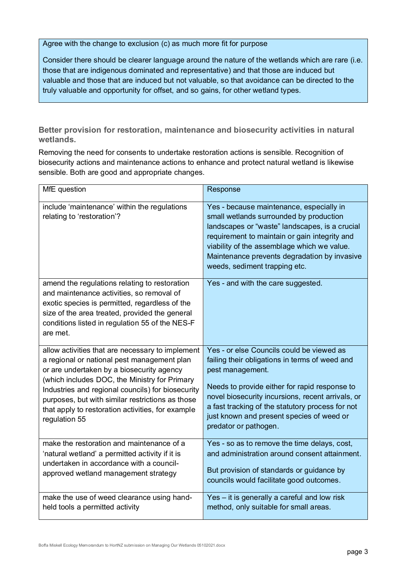Agree with the change to exclusion (c) as much more fit for purpose

Consider there should be clearer language around the nature of the wetlands which are rare (i.e. those that are indigenous dominated and representative) and that those are induced but valuable and those that are induced but not valuable, so that avoidance can be directed to the truly valuable and opportunity for offset, and so gains, for other wetland types.

**Better provision for restoration, maintenance and biosecurity activities in natural wetlands.**

Removing the need for consents to undertake restoration actions is sensible. Recognition of biosecurity actions and maintenance actions to enhance and protect natural wetland is likewise sensible. Both are good and appropriate changes.

| MfE question                                                                                                                                                                                                                                                  | Response                                                                                                                                                                                                                                                                                                               |
|---------------------------------------------------------------------------------------------------------------------------------------------------------------------------------------------------------------------------------------------------------------|------------------------------------------------------------------------------------------------------------------------------------------------------------------------------------------------------------------------------------------------------------------------------------------------------------------------|
| include 'maintenance' within the regulations<br>relating to 'restoration'?                                                                                                                                                                                    | Yes - because maintenance, especially in<br>small wetlands surrounded by production<br>landscapes or "waste" landscapes, is a crucial<br>requirement to maintain or gain integrity and<br>viability of the assemblage which we value.<br>Maintenance prevents degradation by invasive<br>weeds, sediment trapping etc. |
| amend the regulations relating to restoration<br>and maintenance activities, so removal of<br>exotic species is permitted, regardless of the<br>size of the area treated, provided the general<br>conditions listed in regulation 55 of the NES-F<br>are met. | Yes - and with the care suggested.                                                                                                                                                                                                                                                                                     |
| allow activities that are necessary to implement                                                                                                                                                                                                              | Yes - or else Councils could be viewed as                                                                                                                                                                                                                                                                              |
| a regional or national pest management plan                                                                                                                                                                                                                   | failing their obligations in terms of weed and                                                                                                                                                                                                                                                                         |
| or are undertaken by a biosecurity agency                                                                                                                                                                                                                     | pest management.                                                                                                                                                                                                                                                                                                       |
| (which includes DOC, the Ministry for Primary                                                                                                                                                                                                                 | Needs to provide either for rapid response to                                                                                                                                                                                                                                                                          |
| Industries and regional councils) for biosecurity                                                                                                                                                                                                             | novel biosecurity incursions, recent arrivals, or                                                                                                                                                                                                                                                                      |
| purposes, but with similar restrictions as those                                                                                                                                                                                                              | a fast tracking of the statutory process for not                                                                                                                                                                                                                                                                       |
| that apply to restoration activities, for example                                                                                                                                                                                                             | just known and present species of weed or                                                                                                                                                                                                                                                                              |
| regulation 55                                                                                                                                                                                                                                                 | predator or pathogen.                                                                                                                                                                                                                                                                                                  |
| make the restoration and maintenance of a                                                                                                                                                                                                                     | Yes - so as to remove the time delays, cost,                                                                                                                                                                                                                                                                           |
| 'natural wetland' a permitted activity if it is                                                                                                                                                                                                               | and administration around consent attainment.                                                                                                                                                                                                                                                                          |
| undertaken in accordance with a council-                                                                                                                                                                                                                      | But provision of standards or guidance by                                                                                                                                                                                                                                                                              |
| approved wetland management strategy                                                                                                                                                                                                                          | councils would facilitate good outcomes.                                                                                                                                                                                                                                                                               |
| make the use of weed clearance using hand-                                                                                                                                                                                                                    | Yes - it is generally a careful and low risk                                                                                                                                                                                                                                                                           |
| held tools a permitted activity                                                                                                                                                                                                                               | method, only suitable for small areas.                                                                                                                                                                                                                                                                                 |